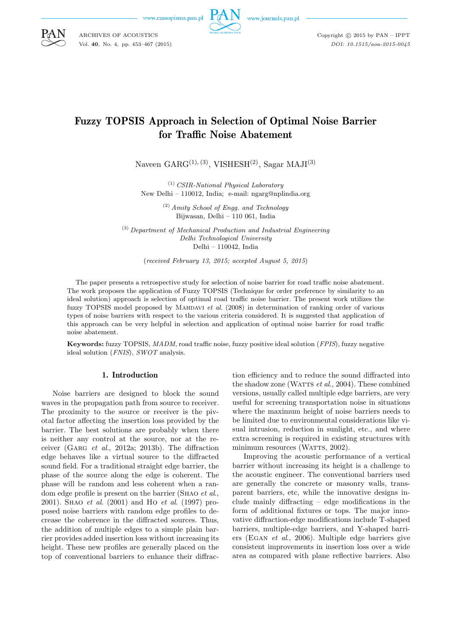

www.journals.pan.pl

Copyright  $\odot$  2015 by PAN - IPPT *DOI: 10.1515/aoa-2015-0045*

# Fuzzy TOPSIS Approach in Selection of Optimal Noise Barrier for Traffic Noise Abatement

Naveen  $GARG<sup>(1), (3)</sup>$ , VISHESH<sup>(2)</sup>, Sagar MAJI<sup>(3)</sup>

(1) *CSIR-National Physical Laboratory* New Delhi – 110012, India; e-mail: ngarg@nplindia.org

> (2) *Amity School of Engg. and Technology* Bijwasan, Delhi – 110 061, India

(3) *Department of Mechanical Production and Industrial Engineering Delhi Technological University* Delhi – 110042, India

(*received February 13, 2015; accepted August 5, 2015*)

The paper presents a retrospective study for selection of noise barrier for road traffic noise abatement. The work proposes the application of Fuzzy TOPSIS (Technique for order preference by similarity to an ideal solution) approach is selection of optimal road traffic noise barrier. The present work utilizes the fuzzy TOPSIS model proposed by Mahdavi *et al*. (2008) in determination of ranking order of various types of noise barriers with respect to the various criteria considered. It is suggested that application of this approach can be very helpful in selection and application of optimal noise barrier for road traffic noise abatement.

**Keywords:** fuzzy TOPSIS, *MADM*, road traffic noise, fuzzy positive ideal solution (*FPIS*), fuzzy negative ideal solution (*FNIS*), *SWOT* analysis.

#### 1. Introduction

Noise barriers are designed to block the sound waves in the propagation path from source to receiver. The proximity to the source or receiver is the pivotal factor affecting the insertion loss provided by the barrier. The best solutions are probably when there is neither any control at the source, nor at the receiver (Garg *et al*., 2012a; 2013b). The diffraction edge behaves like a virtual source to the diffracted sound field. For a traditional straight edge barrier, the phase of the source along the edge is coherent. The phase will be random and less coherent when a random edge profile is present on the barrier (Shao *et al*., 2001). Shao *et al*. (2001) and Ho *et al*. (1997) proposed noise barriers with random edge profiles to decrease the coherence in the diffracted sources. Thus, the addition of multiple edges to a simple plain barrier provides added insertion loss without increasing its height. These new profiles are generally placed on the top of conventional barriers to enhance their diffraction efficiency and to reduce the sound diffracted into the shadow zone (WATTS *et al.*, 2004). These combined versions, usually called multiple edge barriers, are very useful for screening transportation noise in situations where the maximum height of noise barriers needs to be limited due to environmental considerations like visual intrusion, reduction in sunlight, etc., and where extra screening is required in existing structures with minimum resources (WATTS, 2002).

Improving the acoustic performance of a vertical barrier without increasing its height is a challenge to the acoustic engineer. The conventional barriers used are generally the concrete or masonry walls, transparent barriers, etc, while the innovative designs include mainly diffracting – edge modifications in the form of additional fixtures or tops. The major innovative diffraction-edge modifications include T-shaped barriers, multiple-edge barriers, and Y-shaped barriers (Egan *et al*., 2006). Multiple edge barriers give consistent improvements in insertion loss over a wide area as compared with plane reflective barriers. Also



ARCHIVES OF ACOUSTICS Vol. **40**, No. 4, pp. 453–467 (2015)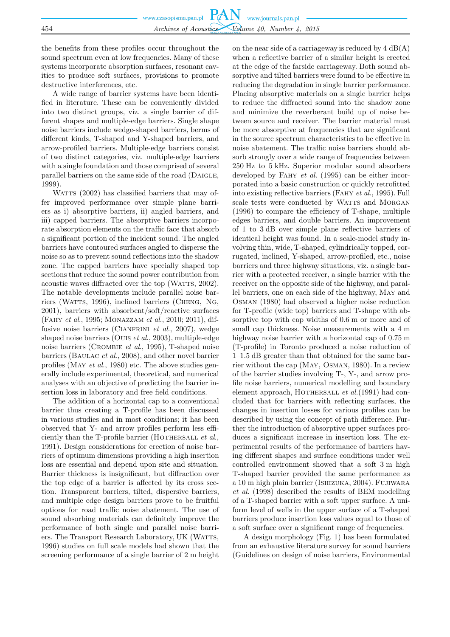the benefits from these profiles occur throughout the sound spectrum even at low frequencies. Many of these systems incorporate absorption surfaces, resonant cavities to produce soft surfaces, provisions to promote destructive interferences, etc.

A wide range of barrier systems have been identified in literature. These can be conveniently divided into two distinct groups, viz. a single barrier of different shapes and multiple-edge barriers. Single shape noise barriers include wedge-shaped barriers, berms of different kinds, T-shaped and Y-shaped barriers, and arrow-profiled barriers. Multiple-edge barriers consist of two distinct categories, viz. multiple-edge barriers with a single foundation and those comprised of several parallel barriers on the same side of the road (DAIGLE, 1999).

WATTS (2002) has classified barriers that may offer improved performance over simple plane barriers as i) absorptive barriers, ii) angled barriers, and iii) capped barriers. The absorptive barriers incorporate absorption elements on the traffic face that absorb a significant portion of the incident sound. The angled barriers have contoured surfaces angled to disperse the noise so as to prevent sound reflections into the shadow zone. The capped barriers have specially shaped top sections that reduce the sound power contribution from acoustic waves diffracted over the top (WATTS, 2002). The notable developments include parallel noise barriers (WATTS, 1996), inclined barriers (CHENG, NG, 2001), barriers with absorbent/soft/reactive surfaces (Fahy *et al*., 1995; Monazzam *et al*., 2010; 2011), diffusive noise barriers (CIANFRINI *et al.*, 2007), wedge shaped noise barriers (Ouis *et al*., 2003), multiple-edge noise barriers (Crombie *et al*., 1995), T-shaped noise barriers (Baulac *et al*., 2008), and other novel barrier profiles (May *et al*., 1980) etc. The above studies generally include experimental, theoretical, and numerical analyses with an objective of predicting the barrier insertion loss in laboratory and free field conditions.

The addition of a horizontal cap to a conventional barrier thus creating a T-profile has been discussed in various studies and in most conditions; it has been observed that Y- and arrow profiles perform less efficiently than the T-profile barrier (HOTHERSALL *et al.*, 1991). Design considerations for erection of noise barriers of optimum dimensions providing a high insertion loss are essential and depend upon site and situation. Barrier thickness is insignificant, but diffraction over the top edge of a barrier is affected by its cross section. Transparent barriers, tilted, dispersive barriers, and multiple edge design barriers prove to be fruitful options for road traffic noise abatement. The use of sound absorbing materials can definitely improve the performance of both single and parallel noise barriers. The Transport Research Laboratory, UK (WATTS, 1996) studies on full scale models had shown that the screening performance of a single barrier of 2 m height

on the near side of a carriageway is reduced by  $4 \text{ dB}(A)$ when a reflective barrier of a similar height is erected at the edge of the farside carriageway. Both sound absorptive and tilted barriers were found to be effective in reducing the degradation in single barrier performance. Placing absorptive materials on a single barrier helps to reduce the diffracted sound into the shadow zone and minimize the reverberant build up of noise between source and receiver. The barrier material must be more absorptive at frequencies that are significant in the source spectrum characteristics to be effective in noise abatement. The traffic noise barriers should absorb strongly over a wide range of frequencies between 250 Hz to 5 kHz. Superior modular sound absorbers developed by Fahy *et al.* (1995) can be either incorporated into a basic construction or quickly retrofitted into existing reflective barriers (Fahy *et al*., 1995). Full scale tests were conducted by WATTS and MORGAN (1996) to compare the efficiency of T-shape, multiple edges barriers, and double barriers. An improvement of 1 to 3 dB over simple plane reflective barriers of identical height was found. In a scale-model study involving thin, wide, T-shaped, cylindrically topped, corrugated, inclined, Y-shaped, arrow-profiled, etc., noise barriers and three highway situations, viz. a single barrier with a protected receiver, a single barrier with the receiver on the opposite side of the highway, and parallel barriers, one on each side of the highway, May and Osman (1980) had observed a higher noise reduction for T-profile (wide top) barriers and T-shape with absorptive top with cap widths of 0.6 m or more and of small cap thickness. Noise measurements with a 4 m highway noise barrier with a horizontal cap of 0.75 m (T-profile) in Toronto produced a noise reduction of 1–1.5 dB greater than that obtained for the same barrier without the cap (May, Osman, 1980). In a review of the barrier studies involving T-, Y-, and arrow profile noise barriers, numerical modelling and boundary element approach, HOTHERSALL *et al.*(1991) had concluded that for barriers with reflecting surfaces, the changes in insertion losses for various profiles can be described by using the concept of path difference. Further the introduction of absorptive upper surfaces produces a significant increase in insertion loss. The experimental results of the performance of barriers having different shapes and surface conditions under well controlled environment showed that a soft 3 m high T-shaped barrier provided the same performance as a 10 m high plain barrier (Ishizuka, 2004). Fujiwara *et al.* (1998) described the results of BEM modelling of a T-shaped barrier with a soft upper surface. A uniform level of wells in the upper surface of a T-shaped barriers produce insertion loss values equal to those of a soft surface over a significant range of frequencies.

A design morphology (Fig. 1) has been formulated from an exhaustive literature survey for sound barriers (Guidelines on design of noise barriers, Environmental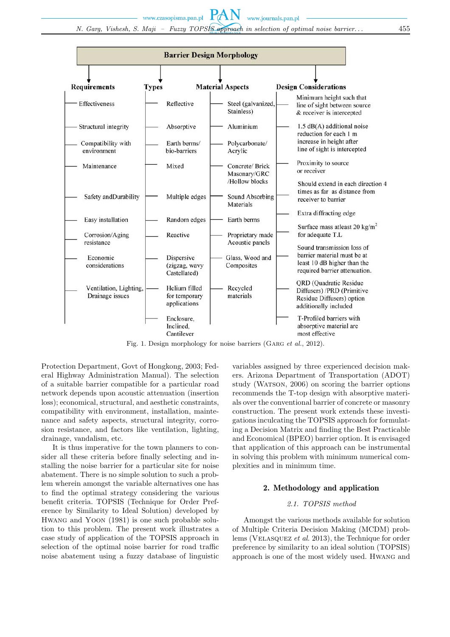*N. Garg, Vishesh, S. Maji – Fuzzy TOPSIS approach in selection of optimal noise barrier. . .* 455

www.czasopisma.pan.pl

PAN



Fig. 1. Design morphology for noise barriers (GARG *et al.*, 2012).

Protection Department, Govt of Hongkong, 2003; Federal Highway Administration Manual). The selection of a suitable barrier compatible for a particular road network depends upon acoustic attenuation (insertion loss); economical, structural, and aesthetic constraints, compatibility with environment, installation, maintenance and safety aspects, structural integrity, corrosion resistance, and factors like ventilation, lighting, drainage, vandalism, etc.

It is thus imperative for the town planners to consider all these criteria before finally selecting and installing the noise barrier for a particular site for noise abatement. There is no simple solution to such a problem wherein amongst the variable alternatives one has to find the optimal strategy considering the various benefit criteria. TOPSIS (Technique for Order Preference by Similarity to Ideal Solution) developed by Hwang and Yoon (1981) is one such probable solution to this problem. The present work illustrates a case study of application of the TOPSIS approach in selection of the optimal noise barrier for road traffic noise abatement using a fuzzy database of linguistic

variables assigned by three experienced decision makers. Arizona Department of Transportation (ADOT) study (WATSON, 2006) on scoring the barrier options recommends the T-top design with absorptive materials over the conventional barrier of concrete or masonry construction. The present work extends these investigations inculcating the TOPSIS approach for formulating a Decision Matrix and finding the Best Practicable and Economical (BPEO) barrier option. It is envisaged that application of this approach can be instrumental in solving this problem with minimum numerical complexities and in minimum time.

## 2. Methodology and application

# *2.1. TOPSIS method*

Amongst the various methods available for solution of Multiple Criteria Decision Making (MCDM) problems (Velasquez *et al.* 2013), the Technique for order preference by similarity to an ideal solution (TOPSIS) approach is one of the most widely used. Hwang and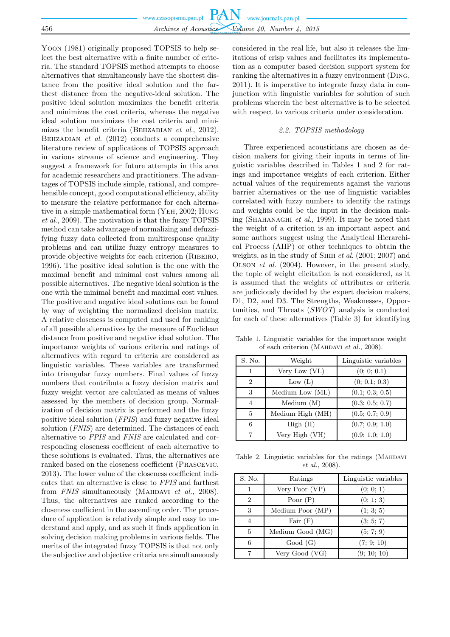|     | www.czasopisma.pan.pl $PAN$ www.journals.pan.pl |
|-----|-------------------------------------------------|
|     |                                                 |
| 456 | Archives of Acoustics Volume 40, Number 4, 2015 |

Yoon (1981) originally proposed TOPSIS to help select the best alternative with a finite number of criteria. The standard TOPSIS method attempts to choose alternatives that simultaneously have the shortest distance from the positive ideal solution and the farthest distance from the negative-ideal solution. The positive ideal solution maximizes the benefit criteria and minimizes the cost criteria, whereas the negative ideal solution maximizes the cost criteria and minimizes the benefit criteria (Behzadian *et al*., 2012). Behzadian *et al*. (2012) conducts a comprehensive literature review of applications of TOPSIS approach in various streams of science and engineering. They suggest a framework for future attempts in this area for academic researchers and practitioners. The advantages of TOPSIS include simple, rational, and comprehensible concept, good computational efficiency, ability to measure the relative performance for each alternative in a simple mathematical form (Yeh, 2002; Hung *et al*., 2009). The motivation is that the fuzzy TOPSIS method can take advantage of normalizing and defuzzifying fuzzy data collected from multiresponse quality problems and can utilize fuzzy entropy measures to provide objective weights for each criterion (Ribeiro, 1996). The positive ideal solution is the one with the maximal benefit and minimal cost values among all possible alternatives. The negative ideal solution is the one with the minimal benefit and maximal cost values. The positive and negative ideal solutions can be found by way of weighting the normalized decision matrix. A relative closeness is computed and used for ranking of all possible alternatives by the measure of Euclidean distance from positive and negative ideal solution. The importance weights of various criteria and ratings of alternatives with regard to criteria are considered as linguistic variables. These variables are transformed into triangular fuzzy numbers. Final values of fuzzy numbers that contribute a fuzzy decision matrix and fuzzy weight vector are calculated as means of values assessed by the members of decision group. Normalization of decision matrix is performed and the fuzzy positive ideal solution (*FPIS*) and fuzzy negative ideal solution (*FNIS*) are determined. The distances of each alternative to *FPIS* and *FNIS* are calculated and corresponding closeness coefficient of each alternative to these solutions is evaluated. Thus, the alternatives are ranked based on the closeness coefficient (Prascevic, 2013). The lower value of the closeness coefficient indicates that an alternative is close to *FPIS* and farthest from *FNIS* simultaneously (MAHDAVI *et al.*, 2008). Thus, the alternatives are ranked according to the closeness coefficient in the ascending order. The procedure of application is relatively simple and easy to understand and apply, and as such it finds application in solving decision making problems in various fields. The merits of the integrated fuzzy TOPSIS is that not only the subjective and objective criteria are simultaneously

considered in the real life, but also it releases the limitations of crisp values and facilitates its implementation as a computer based decision support system for ranking the alternatives in a fuzzy environment (Ding, 2011). It is imperative to integrate fuzzy data in conjunction with linguistic variables for solution of such problems wherein the best alternative is to be selected with respect to various criteria under consideration.

## *2.2. TOPSIS methodology*

Three experienced acousticians are chosen as decision makers for giving their inputs in terms of linguistic variables described in Tables 1 and 2 for ratings and importance weights of each criterion. Either actual values of the requirements against the various barrier alternatives or the use of linguistic variables correlated with fuzzy numbers to identify the ratings and weights could be the input in the decision making (Shahanaghi *et al*., 1999). It may be noted that the weight of a criterion is an important aspect and some authors suggest using the Analytical Hierarchical Process (AHP) or other techniques to obtain the weights, as in the study of Shih *et al*. (2001; 2007) and Olson *et al*. (2004). However, in the present study, the topic of weight elicitation is not considered, as it is assumed that the weights of attributes or criteria are judiciously decided by the expert decision makers, D1, D2, and D3. The Strengths, Weaknesses, Opportunities, and Threats (*SWOT*) analysis is conducted for each of these alternatives (Table 3) for identifying

Table 1. Linguistic variables for the importance weight of each criterion (Mahdavi *et al.*, 2008).

| S. No.         | Weight           | Linguistic variables |
|----------------|------------------|----------------------|
| 1              | Very Low (VL)    | (0; 0; 0.1)          |
| $\overline{2}$ | Low $(L)$        | (0; 0.1; 0.3)        |
| 3              | Medium Low (ML)  | (0.1; 0.3; 0.5)      |
| 4              | Median(M)        | (0.3; 0.5; 0.7)      |
| 5              | Medium High (MH) | (0.5; 0.7; 0.9)      |
| 6              | High(H)          | (0.7; 0.9; 1.0)      |
|                | Very High (VH)   | (0.9; 1.0; 1.0)      |

Table 2. Linguistic variables for the ratings (MAHDAVI *et al.*, 2008).

| S. No.         | Ratings          | Linguistic variables |
|----------------|------------------|----------------------|
|                | Very Poor $(VP)$ | (0; 0; 1)            |
| $\overline{2}$ | Poor $(P)$       | (0; 1; 3)            |
| 3              | Medium Poor (MP) | (1; 3; 5)            |
| 4              | Fair $(F)$       | (3; 5; 7)            |
| 5              | Medium Good (MG) | (5; 7; 9)            |
| 6              | Good(G)          | (7; 9; 10)           |
| 7              | Very Good (VG)   | (9; 10; 10)          |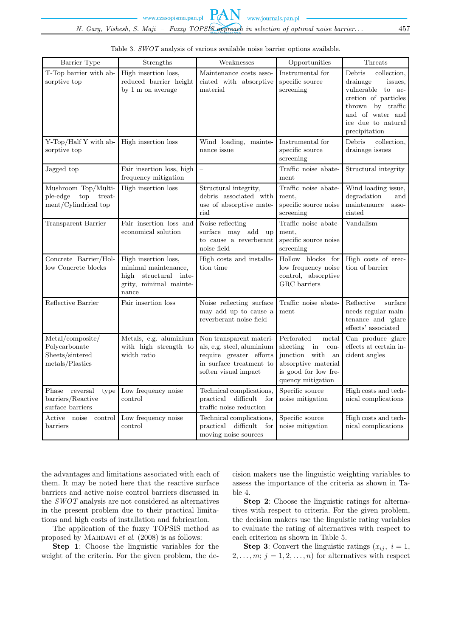*N. Garg, Vishesh, S. Maji – Fuzzy TOPSIS approach in selection of optimal noise barrier. . .* 457

PAN

| Barrier Type                                                             | Strengths                                                                                                   | Weaknesses                                                                                                                          | Opportunities                                                                                                                            | Threats                                                                                                                                                                      |
|--------------------------------------------------------------------------|-------------------------------------------------------------------------------------------------------------|-------------------------------------------------------------------------------------------------------------------------------------|------------------------------------------------------------------------------------------------------------------------------------------|------------------------------------------------------------------------------------------------------------------------------------------------------------------------------|
| T-Top barrier with ab-<br>sorptive top                                   | High insertion loss,<br>reduced barrier height<br>by 1 m on average                                         | Maintenance costs asso-<br>ciated with absorptive<br>material                                                                       | Instrumental for<br>specific source<br>screening                                                                                         | Debris<br>collection,<br>drainage<br>issues.<br>vulnerable to<br>ac-<br>cretion of particles<br>thrown by traffic<br>and of water and<br>ice due to natural<br>precipitation |
| Y-Top/Half Y with ab-<br>sorptive top                                    | High insertion loss                                                                                         | Wind loading, mainte-<br>nance issue                                                                                                | Instrumental for<br>specific source<br>screening                                                                                         | Debris<br>collection,<br>drainage issues                                                                                                                                     |
| Jagged top                                                               | Fair insertion loss, high<br>frequency mitigation                                                           | $\equiv$                                                                                                                            | Traffic noise abate-<br>ment                                                                                                             | Structural integrity                                                                                                                                                         |
| Mushroom Top/Multi-<br>ple-edge<br>top<br>treat-<br>ment/Cylindrical top | High insertion loss                                                                                         | Structural integrity,<br>debris associated with<br>use of absorptive mate-<br>rial                                                  | Traffic noise abate-<br>ment.<br>specific source noise<br>screening                                                                      | Wind loading issue,<br>degradation<br>and<br>maintenance<br>asso-<br>ciated                                                                                                  |
| Transparent Barrier                                                      | Fair insertion loss and<br>economical solution                                                              | Noise reflecting<br>surface may add up<br>to cause a reverberant<br>noise field                                                     | Traffic noise abate-<br>ment,<br>specific source noise<br>screening                                                                      | Vandalism                                                                                                                                                                    |
| Concrete Barrier/Hol-<br>low Concrete blocks                             | High insertion loss,<br>minimal maintenance,<br>structural inte-<br>high<br>grity, minimal mainte-<br>nance | High costs and installa-<br>tion time                                                                                               | Hollow blocks for<br>low frequency noise<br>control, absorptive<br>GRC barriers                                                          | High costs of erec-<br>tion of barrier                                                                                                                                       |
| Reflective Barrier                                                       | Fair insertion loss                                                                                         | Noise reflecting surface<br>may add up to cause a<br>reverberant noise field                                                        | Traffic noise abate-<br>ment                                                                                                             | Reflective<br>surface<br>needs regular main-<br>tenance and 'glare<br>effects' associated                                                                                    |
| Metal/composite/<br>Polycarbonate<br>Sheets/sintered<br>metals/Plastics  | Metals, e.g. aluminium<br>with high strength to<br>width ratio                                              | Non transparent materi-<br>als, e.g. steel, aluminium<br>require greater efforts<br>in surface treatment to<br>soften visual impact | Perforated<br>metal<br>in<br>sheeting<br>con-<br>junction with<br>an<br>absorptive material<br>is good for low fre-<br>quency mitigation | Can produce glare<br>effects at certain in-<br>cident angles                                                                                                                 |
| Phase reversal<br>type<br>barriers/Reactive<br>surface barriers          | Low frequency noise<br>control                                                                              | Technical complications,<br>practical<br>difficult<br>for<br>traffic noise reduction                                                | Specific source<br>noise mitigation                                                                                                      | High costs and tech-<br>nical complications                                                                                                                                  |
| Active noise<br>control<br>barriers                                      | Low frequency noise<br>control                                                                              | Technical complications,<br>difficult<br>practical<br>for<br>moving noise sources                                                   | Specific source<br>noise mitigation                                                                                                      | High costs and tech-<br>nical complications                                                                                                                                  |

| Table 3. SWOT analysis of various available noise barrier options available. |  |  |  |  |  |
|------------------------------------------------------------------------------|--|--|--|--|--|
|                                                                              |  |  |  |  |  |

the advantages and limitations associated with each of them. It may be noted here that the reactive surface barriers and active noise control barriers discussed in the *SWOT* analysis are not considered as alternatives in the present problem due to their practical limitations and high costs of installation and fabrication.

The application of the fuzzy TOPSIS method as proposed by Mahdavi *et al*. (2008) is as follows:

**Step 1**: Choose the linguistic variables for the weight of the criteria. For the given problem, the decision makers use the linguistic weighting variables to assess the importance of the criteria as shown in Table 4.

**Step 2**: Choose the linguistic ratings for alternatives with respect to criteria. For the given problem, the decision makers use the linguistic rating variables to evaluate the rating of alternatives with respect to each criterion as shown in Table 5.

**Step 3**: Convert the linguistic ratings  $(x_{ij}, i = 1,$  $2, \ldots, m; j = 1, 2, \ldots, n$  for alternatives with respect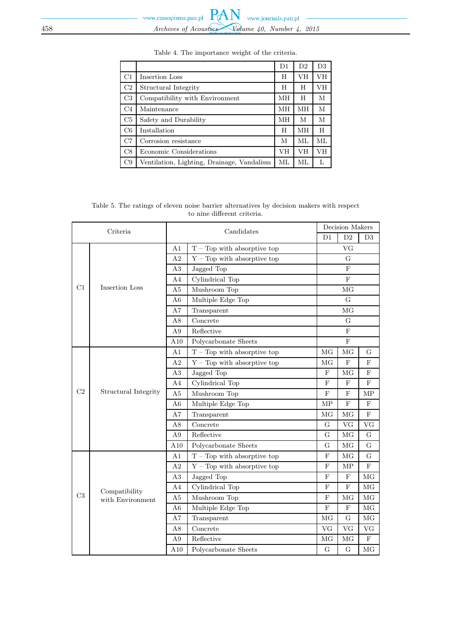|                |                                            | D <sub>1</sub> | D <sub>2</sub> | D <sub>3</sub> |
|----------------|--------------------------------------------|----------------|----------------|----------------|
| C1             | Insertion Loss                             | H              | VH             | VH             |
| C2             | Structural Integrity                       | H              | H              | VН             |
| C3             | Compatibility with Environment             | MH             | H              | М              |
| C <sub>4</sub> | Maintenance                                | MН             | MН             | M              |
| C5             | Safety and Durability                      | MН             | М              | М              |
| C6             | Installation                               | H              | MН             | H              |
| C7             | Corrosion resistance                       | М              | ML             | ML             |
| C8             | Economic Considerations                    | VH             | VH             | VH             |
| C9             | Ventilation, Lighting, Drainage, Vandalism | ML             | ML.            | L              |

Table 4. The importance weight of the criteria.

Table 5. The ratings of eleven noise barrier alternatives by decision makers with respect to nine different criteria.

| Criteria |                                                     | Candidates     |                                     | Decision Makers |                |             |
|----------|-----------------------------------------------------|----------------|-------------------------------------|-----------------|----------------|-------------|
|          |                                                     |                |                                     | D1              | D2             | D3          |
|          |                                                     | A1             | $T - Top$ with absorptive top       |                 | VG             |             |
|          |                                                     | A <sub>2</sub> | $Y - Top$ with absorptive top       |                 | G              |             |
|          |                                                     | A3             | Jagged Top                          |                 | F              |             |
|          |                                                     | A <sub>4</sub> | $\overline{\text{Cylindrical Top}}$ |                 | $\overline{F}$ |             |
| C1       | Insertion Loss                                      | A <sub>5</sub> | Mushroom Top                        | MG              |                |             |
|          | A <sub>6</sub>                                      |                | Multiple Edge Top                   | G               |                |             |
|          |                                                     | A7             | Transparent                         |                 | MG             |             |
|          |                                                     | A8             | Concrete                            |                 | G              |             |
|          |                                                     |                | Reflective                          |                 | F              |             |
|          |                                                     | A10            | Polycarbonate Sheets                |                 | ${\bf F}$      |             |
|          |                                                     | A <sub>1</sub> | $T - Top$ with absorptive top       | MG              | MG             | G           |
|          |                                                     | A2             | $Y - Top$ with absorptive top       | MG              | ${\bf F}$      | ${\bf F}$   |
|          |                                                     | A3             | Jagged Top                          | $\mathbf{F}$    | MG             | F           |
|          |                                                     | A <sub>4</sub> | Cylindrical Top                     | F               | F              | F           |
| C2       | Structural Integrity                                | A5             | Mushroom Top                        | F               | F              | MP          |
|          |                                                     | A6             | Multiple Edge Top                   | <b>MP</b>       | $\mathbf F$    | ${\bf F}$   |
|          |                                                     | A7             | Transparent                         | MG              | MG             | F           |
|          |                                                     | A8             | Concrete                            | G               | VG             | <b>VG</b>   |
|          |                                                     | A <sub>9</sub> | Reflective                          | G               | MG             | $\mathbf G$ |
|          |                                                     | A10            | Polycarbonate Sheets                | G               | MG             | G           |
|          |                                                     | A <sub>1</sub> | $T - Top$ with absorptive top       | F               | MG             | G           |
|          |                                                     | A <sub>2</sub> | $Y - Top$ with absorptive top       | F               | MP             | F           |
|          |                                                     | A3             | Jagged Top                          | F               | $\mathbf F$    | MG          |
|          | Compatibility<br>C <sub>3</sub><br>with Environment | A4             | Cylindrical Top                     | F               | F              | MG          |
|          |                                                     | A5             | Mushroom Top                        | F               | MG             | $\rm MG$    |
|          |                                                     |                | Multiple Edge Top                   | $\mathbf F$     | $\mathbf F$    | MG          |
|          |                                                     |                | Transparent                         | MG              | G              | MG          |
|          |                                                     | A8             | Concrete                            | <b>VG</b>       | VG             | <b>VG</b>   |
|          |                                                     | A <sub>9</sub> | Reflective                          | MG              | MG             | $\mathbf F$ |
|          |                                                     | A10            | Polycarbonate Sheets                | $\overline{G}$  | G              | MG          |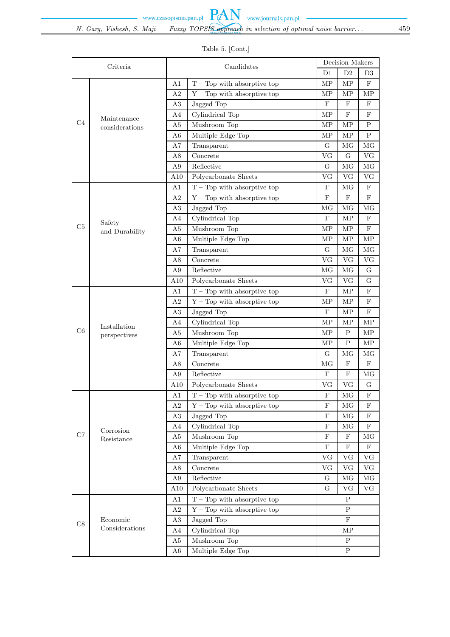|                |                               |                |                                        |              | Decision Makers |             |
|----------------|-------------------------------|----------------|----------------------------------------|--------------|-----------------|-------------|
|                | Criteria                      |                | Candidates                             | D1           | D <sub>2</sub>  | D3          |
|                |                               | A1             | $T - Top$ with absorptive top          | MP           | MP              | $\mathbf F$ |
|                |                               | A2             | $Y - Top$ with absorptive top          | MP           | МP              | МP          |
|                |                               | A3             | Jagged Top                             | F            | F               | F           |
|                |                               | A <sub>4</sub> | Cylindrical Top                        | MP           | F               | $\mathbf F$ |
| C <sub>4</sub> | Maintenance<br>considerations | A5             | Mushroom Top                           | MP           | MP              | P           |
|                |                               | A6             | Multiple Edge Top                      | MP           | МP              | P           |
|                |                               | A7             | Transparent                            | G            | MG              | MG          |
|                |                               | A8             | Concrete                               | VG           | G               | VG          |
|                |                               | A9             | Reflective                             | G            | MG              | MG          |
|                |                               | A10            | Polycarbonate Sheets                   | VG           | VG              | VG          |
|                |                               | A <sub>1</sub> | $T - Top$ with absorptive top          | $\mathbf F$  | MG              | $\mathbf F$ |
|                |                               | A <sub>2</sub> | $Y - Top$ with absorptive top          | $\mathbf{F}$ | F               | F           |
|                |                               | A3             | Jagged Top                             | MG           | МG              | MG          |
|                |                               | A4             | Cylindrical Top                        | $\mathbf{F}$ | MP              | $\mathbf F$ |
| C5             | Safety<br>and Durability      | A <sub>5</sub> | Mushroom Top                           | MP           | MP              | $\mathbf F$ |
|                |                               | A6             | Multiple Edge Top                      | MP           | MP              | MP          |
|                |                               | A7             | Transparent                            | G            | MG              | MG          |
|                |                               | A8             | Concrete                               | VG           | VG              | ${\rm VG}$  |
|                |                               | A <sub>9</sub> | Reflective                             | MG           | MG              | G           |
|                |                               | $_{\rm A10}$   | Polycarbonate Sheets                   | VG           | VG              | G           |
|                |                               | A1             | $T - Top$ with absorptive top          | $_{\rm F}$   | MP              | $_{\rm F}$  |
|                |                               | A <sub>2</sub> | $Y - Top$ with absorptive top          | MP           | MP              | $\mathbf F$ |
|                |                               | A3             | Jagged Top                             | $\mathbf{F}$ | МP              | F           |
|                | Installation                  | A <sub>4</sub> | Cylindrical Top                        | MP           | MP              | MP          |
| C6             |                               | A <sub>5</sub> | Mushroom Top                           | MP           | $\mathbf P$     | MP          |
|                | perspectives                  | A6             | Multiple Edge Top                      | MP           | Ρ               | MP          |
|                |                               | A7             | Transparent                            | G            | MG              | MG          |
|                |                               | A8             | Concrete                               | MG           | $\mathbf F$     | F           |
|                |                               | A9             | Reflective                             | $\mathbf{F}$ | $\mathbf F$     | MG          |
|                |                               | A10            | Polycarbonate Sheets                   | VG           | VG              | G           |
|                |                               | A1             | $T - Top$ with absorptive top          | $\mathbf F$  | MG              | $\mathbf F$ |
|                |                               | A <sub>2</sub> | $Y - Top$ with absorptive top          | F            | MG              | F           |
|                |                               | A3             | Jagged Top                             | F            | MG              | F           |
|                | Corrosion                     | A4             | Cylindrical Top                        | F            | МG              | F           |
| C7             | Resistance                    | A <sub>5</sub> | Mushroom Top                           | F            | $_{\rm F}$      | MG          |
|                |                               | A <sub>6</sub> | Multiple Edge Top                      | $\mathbf{F}$ | $\mathbf F$     | $\mathbf F$ |
|                |                               | A7             | Transparent                            | VG           | VG              | VG          |
|                |                               | A8             | Concrete                               | VG           | VG              | VG          |
|                |                               | A9             | Reflective                             | G            | MG              | MG          |
|                |                               | A10            | Polycarbonate Sheets                   | G            | VG              | VG          |
|                |                               | A1             | $T - Top$ with absorptive top          |              | P               |             |
|                |                               | A <sub>2</sub> | Top with absorptive top<br>${\rm Y}$ – |              | $\mathbf{P}$    |             |
| C8             | Economic                      | A3             | Jagged Top                             |              | $_{\rm F}$      |             |
| Considerations |                               | A4             | Cylindrical Top                        |              | МP              |             |
|                |                               | A <sub>5</sub> | Mushroom Top                           |              | $\mathbf P$     |             |
|                |                               | A <sub>6</sub> | Multiple Edge Top                      |              | $\rm P$         |             |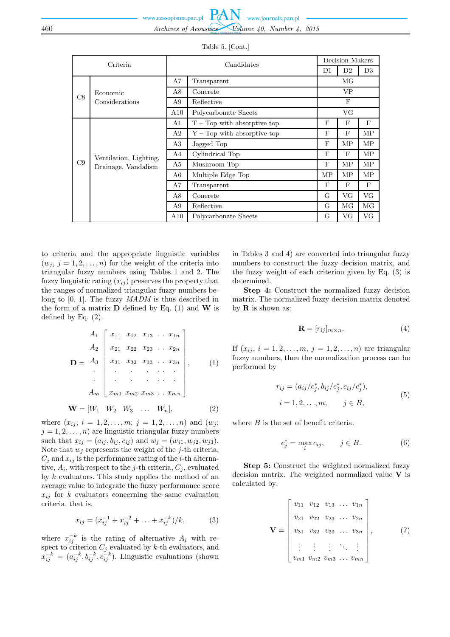| Criteria |                        | Candidates |                               |              | Decision Makers |                |  |
|----------|------------------------|------------|-------------------------------|--------------|-----------------|----------------|--|
|          |                        |            |                               | D1           | D <sub>2</sub>  | D <sub>3</sub> |  |
|          |                        | A7         | Transparent                   |              | МG              |                |  |
| C8       | Economic               | A8         | Concrete                      |              | VP.             |                |  |
|          | Considerations         | A9         | Reflective                    |              | F               |                |  |
|          |                        |            | Polycarbonate Sheets          |              | VG              |                |  |
|          |                        | A1         | $T - Top$ with absorptive top | $\mathbf{F}$ | F               | $_{\rm F}$     |  |
|          |                        | A2         | $Y$ – Top with absorptive top | F            | $_{\rm F}$      | <b>MP</b>      |  |
|          |                        | A3         | Jagged Top                    | $\mathbf{F}$ | MΡ              | MP             |  |
|          | Ventilation, Lighting, | A4         | Cylindrical Top               | $\mathbf{F}$ | F               | MP             |  |
| C9       | Drainage, Vandalism    | A5         | Mushroom Top                  | $\mathbf{F}$ | MΡ              | MP             |  |
|          |                        | A6         | Multiple Edge Top             | MP           | MΡ              | MP             |  |
|          |                        | A7         | Transparent                   | F            | $_{\rm F}$      | $_{\rm F}$     |  |
|          |                        | A8         | Concrete                      | G            | VG.             | VG             |  |
|          |                        | A9         | Reflective                    | G            | МG              | MG             |  |
|          |                        | A10        | Polycarbonate Sheets          | G            | VG.             | VG             |  |

Table 5. [Cont.]

to criteria and the appropriate linguistic variables  $(w_i, j = 1, 2, \ldots, n)$  for the weight of the criteria into triangular fuzzy numbers using Tables 1 and 2. The fuzzy linguistic rating  $(x_{ij})$  preserves the property that the ranges of normalized triangular fuzzy numbers belong to [0, 1]. The fuzzy *MADM* is thus described in the form of a matrix  $\bf{D}$  defined by Eq. (1) and  $\bf{W}$  is defined by Eq.  $(2)$ .

$$
A_{1} \begin{bmatrix} x_{11} & x_{12} & x_{13} & \dots & x_{1n} \\ x_{21} & x_{22} & x_{23} & \dots & x_{2n} \\ x_{31} & x_{32} & x_{33} & \dots & x_{3n} \\ \vdots & \vdots & \vdots & \ddots & \vdots \\ x_{m1} & x_{m2} & x_{m3} & \dots & x_{mn} \end{bmatrix}, \qquad (1)
$$

$$
\mathbf{W} = [W_1 \quad W_2 \quad W_3 \quad \dots \quad W_n], \tag{2}
$$

where  $(x_{ij}; i = 1, 2, ..., m; j = 1, 2, ..., n)$  and  $(w_j;$  $j = 1, 2, \ldots, n$  are linguistic triangular fuzzy numbers such that  $x_{ij} = (a_{ij}, b_{ij}, c_{ij})$  and  $w_j = (w_{j1}, w_{j2}, w_{j3}).$ Note that  $w_j$  represents the weight of the j-th criteria,  $C_j$  and  $x_{ij}$  is the performance rating of the *i*-th alternative,  $A_i$ , with respect to the j-th criteria,  $C_j$ , evaluated by  $k$  evaluators. This study applies the method of an average value to integrate the fuzzy performance score  $x_{ij}$  for k evaluators concerning the same evaluation criteria, that is,

$$
x_{ij} = (x_{ij}^{-1} + x_{ij}^{-2} + \ldots + x_{ij}^{-k})/k, \qquad (3)
$$

where  $x_{ij}^{-k}$  is the rating of alternative  $A_i$  with respect to criterion  $C_j$  evaluated by k-th evaluators, and  $x_{ij}^{-k} = (a_{ij}^{-k}, b_{ij}^{-k}, c_{ij}^{-k}).$  Linguistic evaluations (shown in Tables 3 and 4) are converted into triangular fuzzy numbers to construct the fuzzy decision matrix, and the fuzzy weight of each criterion given by Eq. (3) is determined.

**Step 4:** Construct the normalized fuzzy decision matrix. The normalized fuzzy decision matrix denoted by **R** is shown as:

$$
\mathbf{R} = [r_{ij}]_{m \times n}.\tag{4}
$$

If  $(x_{ij}, i = 1, 2, ..., m, j = 1, 2, ..., n)$  are triangular fuzzy numbers, then the normalization process can be performed by

$$
r_{ij} = (a_{ij}/c_j^*, b_{ij}/c_j^*, c_{ij}/c_j^*),
$$
  
\n
$$
i = 1, 2, ..., m, \qquad j \in B,
$$
 (5)

where  $B$  is the set of benefit criteria.

$$
c_j^* = \max_i c_{ij}, \qquad j \in B. \tag{6}
$$

**Step 5:** Construct the weighted normalized fuzzy decision matrix. The weighted normalized value **V** is calculated by:

$$
\mathbf{V} = \begin{bmatrix} v_{11} & v_{12} & v_{13} & \dots & v_{1n} \\ v_{21} & v_{22} & v_{23} & \dots & v_{2n} \\ v_{31} & v_{32} & v_{33} & \dots & v_{3n} \\ \vdots & \vdots & \vdots & \ddots & \vdots \\ v_{m1} & v_{m2} & v_{m3} & \dots & v_{mn} \end{bmatrix}, \qquad (7)
$$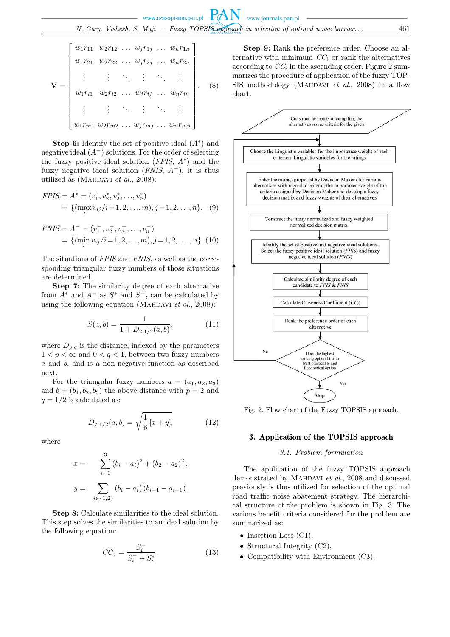$$
\mathbf{V} = \begin{bmatrix} w_1r_{11} & w_2r_{12} & \dots & w_jr_{1j} & \dots & w_nr_{1n} \\ w_1r_{21} & w_2r_{22} & \dots & w_jr_{2j} & \dots & w_nr_{2n} \\ \vdots & \vdots & \ddots & \vdots & \ddots & \vdots \\ w_1r_{i1} & w_2r_{i2} & \dots & w_jr_{ij} & \dots & w_nr_{in} \\ \vdots & \vdots & \ddots & \vdots & \ddots & \vdots \\ w_1r_{m1} & w_2r_{m2} & \dots & w_jr_{mj} & \dots & w_nr_{mn} \end{bmatrix} . \quad (8)
$$

**Step 6:** Identify the set of positive ideal  $(A^*)$  and negative ideal  $(A^-)$  solutions. For the order of selecting the fuzzy positive ideal solution (*FPIS*, A<sup>∗</sup> ) and the fuzzy negative ideal solution (*FNIS*, A<sup>−</sup>), it is thus utilized as (Mahdavi *et al.*, 2008):

$$
FPIS = A^* = (v_1^*, v_2^*, v_3^*, \dots, v_n^*)
$$
  
= { $(\max_i v_{ij}/i = 1, 2, \dots, m), j = 1, 2, \dots, n$ }, (9)

$$
F NIS = A^- = (v_1^-, v_2^-, v_3^-, \dots, v_n^-)
$$
  
= { $(\min_i v_{ij}/i=1, 2, \dots, m), j=1, 2, \dots, n$ }. (10)

The situations of *FPIS* and *FNIS*, as well as the corresponding triangular fuzzy numbers of those situations are determined.

**Step 7**: The similarity degree of each alternative from  $A^*$  and  $A^-$  as  $S^*$  and  $S^-$ , can be calculated by using the following equation (Mahdavi *et al*., 2008):

$$
S(a,b) = \frac{1}{1 + D_{2,1/2}(a,b)},
$$
\n(11)

where  $D_{p,q}$  is the distance, indexed by the parameters  $1 < p < \infty$  and  $0 < q < 1$ , between two fuzzy numbers a and b, and is a non-negative function as described next.

For the triangular fuzzy numbers  $a = (a_1, a_2, a_3)$ and  $b = (b_1, b_2, b_3)$  the above distance with  $p = 2$  and  $q = 1/2$  is calculated as:

$$
D_{2,1/2}(a,b) = \sqrt{\frac{1}{6} \left[ x + y \right]},
$$
 (12)

where

$$
x = \sum_{i=1}^{3} (b_i - a_i)^2 + (b_2 - a_2)^2,
$$
  

$$
y = \sum_{i \in \{1,2\}} (b_i - a_i) (b_{i+1} - a_{i+1}).
$$

**Step 8:** Calculate similarities to the ideal solution. This step solves the similarities to an ideal solution by the following equation:

$$
CC_i = \frac{S_i^-}{S_i^- + S_i^*}.
$$
\n(13)

**Step 9:** Rank the preference order. Choose an alternative with minimum  $CC_i$  or rank the alternatives according to  $CC<sub>i</sub>$  in the ascending order. Figure 2 summarizes the procedure of application of the fuzzy TOP-SIS methodology (MAHDAVI *et al.*, 2008) in a flow chart.



Fig. 2. Flow chart of the Fuzzy TOPSIS approach.

## 3. Application of the TOPSIS approach

# *3.1. Problem formulation*

The application of the fuzzy TOPSIS approach demonstrated by Mahdavi *et al*., 2008 and discussed previously is thus utilized for selection of the optimal road traffic noise abatement strategy. The hierarchical structure of the problem is shown in Fig. 3. The various benefit criteria considered for the problem are summarized as:

- Insertion Loss  $(Cl)$ ,
- Structural Integrity  $(C2)$ ,
- Compatibility with Environment (C3),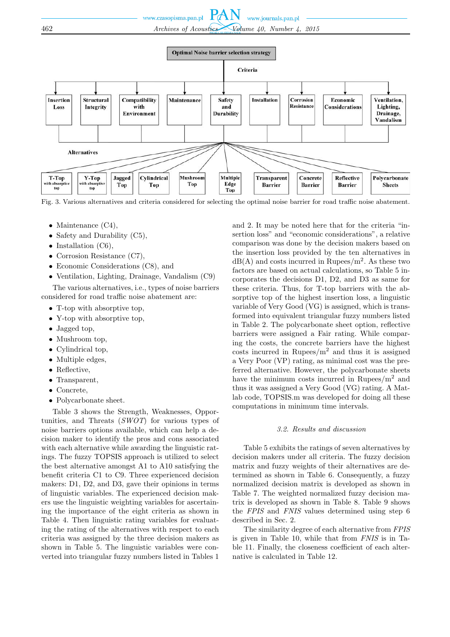

Fig. 3. Various alternatives and criteria considered for selecting the optimal noise barrier for road traffic noise abatement.

- Maintenance (C4),
- Safety and Durability (C5),
- Installation  $(C6)$ ,
- Corrosion Resistance (C7),
- Economic Considerations (C8), and
- Ventilation, Lighting, Drainage, Vandalism (C9)

The various alternatives, i.e., types of noise barriers considered for road traffic noise abatement are:

- T-top with absorptive top,
- Y-top with absorptive top,
- Jagged top,
- Mushroom top,
- Cylindrical top,
- Multiple edges,
- Reflective.
- Transparent,
- Concrete,
- Polycarbonate sheet.

Table 3 shows the Strength, Weaknesses, Opportunities, and Threats (*SWOT*) for various types of noise barriers options available, which can help a decision maker to identify the pros and cons associated with each alternative while awarding the linguistic ratings. The fuzzy TOPSIS approach is utilized to select the best alternative amongst A1 to A10 satisfying the benefit criteria C1 to C9. Three experienced decision makers: D1, D2, and D3, gave their opinions in terms of linguistic variables. The experienced decision makers use the linguistic weighting variables for ascertaining the importance of the eight criteria as shown in Table 4. Then linguistic rating variables for evaluating the rating of the alternatives with respect to each criteria was assigned by the three decision makers as shown in Table 5. The linguistic variables were converted into triangular fuzzy numbers listed in Tables 1

and 2. It may be noted here that for the criteria "insertion loss" and "economic considerations", a relative comparison was done by the decision makers based on the insertion loss provided by the ten alternatives in  $dB(A)$  and costs incurred in Rupees/m<sup>2</sup>. As these two factors are based on actual calculations, so Table 5 incorporates the decisions D1, D2, and D3 as same for these criteria. Thus, for T-top barriers with the absorptive top of the highest insertion loss, a linguistic variable of Very Good (VG) is assigned, which is transformed into equivalent triangular fuzzy numbers listed in Table 2. The polycarbonate sheet option, reflective barriers were assigned a Fair rating. While comparing the costs, the concrete barriers have the highest costs incurred in Rupees/ $m^2$  and thus it is assigned a Very Poor (VP) rating, as minimal cost was the preferred alternative. However, the polycarbonate sheets have the minimum costs incurred in Rupees/ $m<sup>2</sup>$  and thus it was assigned a Very Good (VG) rating. A Matlab code, TOPSIS.m was developed for doing all these computations in minimum time intervals.

#### *3.2. Results and discussion*

Table 5 exhibits the ratings of seven alternatives by decision makers under all criteria. The fuzzy decision matrix and fuzzy weights of their alternatives are determined as shown in Table 6. Consequently, a fuzzy normalized decision matrix is developed as shown in Table 7. The weighted normalized fuzzy decision matrix is developed as shown in Table 8. Table 9 shows the *FPIS* and *FNIS* values determined using step 6 described in Sec. 2.

The similarity degree of each alternative from *FPIS* is given in Table 10, while that from *FNIS* is in Table 11. Finally, the closeness coefficient of each alternative is calculated in Table 12.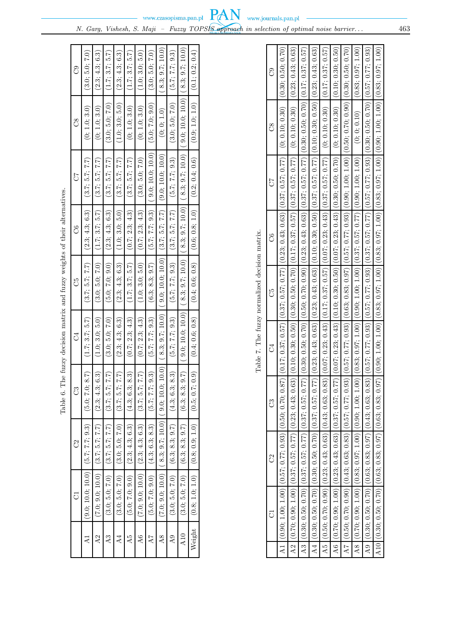|                 | ರ                                     | ි                                     | E                     | ੋਂ               | ටී                                    | °S               | 50                | °S                                     | පි              |
|-----------------|---------------------------------------|---------------------------------------|-----------------------|------------------|---------------------------------------|------------------|-------------------|----------------------------------------|-----------------|
|                 | $(9.0; 10.0; 10.0)$ $(5.7; 7.7; 9.3)$ |                                       | 8.7)<br>(5.0; 7.0;    | (1.7; 3.7; 5.7)  | (3.7; 5.7; 7.7)                       | (2.3; 4.3; 6.3)  | (3.7; 5.7; 7.7)   | (0; 1.0; 3.0)                          | (3.0; 5.0; 7.0) |
| $_{\rm A2}$     | $(7.0; 9.0; 10.0)$ $(3.7; 5.7; 7.7)$  |                                       | 6.3)<br>(2.3; 4.3;    | (1.0; 3.0; 5.0)  | (3.0; 5.0; 7.0)                       | (1.7; 3.7; 5.7)  | (3.7; 5.7; 7.7)   | (0; 1.0; 3.0)                          | (2.3; 4.3; 6.3) |
| $\mathbb{A}^3$  | (3.0; 5.0; 7.0)                       | (3.7; 5.7; 7.7)                       | (2.7)<br>(3.7; 5.7;   | (3.0; 5.0; 7.0)  | (5.0; 7.0; 9.0)                       | (2.3; 4.3; 6.3)  | (3.7; 5.7; 7.7)   | (3.0; 5.0; 7.0)                        | (1.7; 3.7; 5.7) |
|                 | (3.0; 5.0; 7.0)                       | (3.0; 5.0; 7.0)                       | (2.7)<br>(3.7; 5.7;   | (2.3; 4.3; 6.3)  | (2.3; 4.3; 6.3)                       | (1.0; 3.0; 5.0)  | (3.7; 5.7; 7.7)   | (1.0; 3.0; 5.0)                        | (2.3; 4.3; 6.3) |
| A5              | (5.0; 7.0; 9.0)                       | (2.3; 4.3; 6.3)                       | 8.3)<br>(4.3; 6.3;    | (0.7; 2.3; 4.3)  | (1.7; 3.7; 5.7)                       | (0.7; 2.3; 4.3)  | (3.7; 5.7; 7.7)   | (0; 1.0; 3.0)                          | (1.7; 3.7; 5.7) |
| $\overline{A}6$ | $(7.0; 9.0; 10.0)$ $(2.3; 4.3; 6.3)$  |                                       | (2.7)<br>(3.7; 5.7;   | (0.7; 2.3; 4.3)  | (1.0; 3.0; 5.0)                       | (0.7; 2.3; 4.3)  | (3.0; 5.0; 7.0)   | (0; 1.0; 3.0)                          | (1.0; 3.0; 5.0) |
| A7              | (5.0; 7.0; 9.0)                       | (4.3; 6.3; 8.3)                       | 9.3)<br>(5.7; 7.7;    | (5.7; 7.7; 9.3)  | (6.3; 8.3; 9.7)                       | (5.7; 7.7; 9.3)  | 9.0; 10.0; 10.0)  | (5.0; 7.0; 9.0)                        | (3.0; 5.0; 7.0) |
| $\overline{A}8$ |                                       | $(7.0; 9.0; 10.0)$ $(8.3; 9.7; 10.0)$ | (0.01)<br>(9.0; 10.0; | (8.3; 9.7; 10.0) | $(9.0; 10.0; 10.0)$ $(3.7; 5.7; 7.7)$ |                  | (9.0; 10.0; 10.0) | (0; 0; 1.0)                            | 8.3; 9.7; 10.0) |
| $_{\rm A}$ 9    | (3.0; 5.0; 7.0)                       | (6.3; 8.3; 9.7)                       | 8.3)<br>(4.3; 6.3;    | (5.7; 7.7; 9.3)  | (5.7; 7.7; 9.3)                       | (3.7; 5.7; 7.7)  | (5.7; 7.7; 9.3)   | (3.0; 5.0; 7.0)                        | (5.7; 7.7; 9.3) |
| A10             | (3.0; 5.0; 7.0)                       | (6.3; 8.3; 9.7)                       | (1.6)<br>(6.3; 8.3;   | 9.0; 10.0; 10.0) | (8.3; 9.7; 10.0)                      | (8.3; 9.7; 10.0) | (8.3; 9.7; 10.0)  | $(9.0; 10.0; 10.0)$ $(8.3; 9.7; 10.0)$ |                 |
| Weight          | (0.8; 1.0; 1.0)                       | (0.8; 0.9; 1.0)                       | (6.0)<br>(0.5; 0.7;   | (0.4; 0.6; 0.8)  | (0.4; 0.6; 0.8)                       | (0.6; 0.8; 1.0)  | (0.2; 0.4; 0.6)   | (0.9; 1.0; 1.0)                        | (0.1; 0.2; 0.4) |
|                 |                                       |                                       |                       |                  |                                       |                  |                   |                                        |                 |

| ş                          |
|----------------------------|
|                            |
| í<br>ļ<br>S<br>S<br>ı<br>ï |
| <br>í                      |
| į<br>j<br>Ē                |
| Ì                          |

|                                                | ටී             |                                                                                                               |                                                                                                                                        |                                                                                                                                                     |                                                                                                                                                   |                                                                                                                                          |                                                                                                                                      |                                                                                                                                            |                                                                                                                                    |                                                                                                                                              |                                                                                                                                        |
|------------------------------------------------|----------------|---------------------------------------------------------------------------------------------------------------|----------------------------------------------------------------------------------------------------------------------------------------|-----------------------------------------------------------------------------------------------------------------------------------------------------|---------------------------------------------------------------------------------------------------------------------------------------------------|------------------------------------------------------------------------------------------------------------------------------------------|--------------------------------------------------------------------------------------------------------------------------------------|--------------------------------------------------------------------------------------------------------------------------------------------|------------------------------------------------------------------------------------------------------------------------------------|----------------------------------------------------------------------------------------------------------------------------------------------|----------------------------------------------------------------------------------------------------------------------------------------|
|                                                | ඊ              | $(0.17;0.37;0.57)\ (0.37;0.57;0.57;0.77)\ (0.23;0.43;0.63)\ (0.37;0.57;0.77)\ (0.310;0.30)\ (0.30;0.50;0.70)$ | $(0.10; 0.30; 0.50)$ $(0.30; 0.50; 0.50; 0.70)$ $(0.17; 0.37; 0.57)$ $(0.37; 0.57; 0.57; 0.77)$ $(0, 0.10; 0.90)$ $(0.23; 0.43; 0.63)$ | $(0.30; 0.50; 0.70)$ $\big[ (0.50; 0.70; 0.20) \big] (0.23; 0.43; 0.63) \big] (0.37; 0.57; 0.57) \big[ (0.30; 0.50; 0.70) \big] (0.17; 0.37; 0.57)$ | $(0.23; 0.43; 0.63)\big  (0.23; 0.43; 0.63)\big  (0.10; 0.30; 0.50)\big  (0.37; 0.57; 0.77)\big  (0.10; 0.30; 0.50)\big  (0.23; 0.43; 0.63)\big $ | $(0.07;0.23;0.43)\big[ (0.17;0.37;0.57) \big] (0.07;0.23;0.43) \big] (0.37;0.57;0.57;0.17) \big] ~(0,0.10;0.30) ~\big[ (0.17;0.37;0.57)$ | $(0.07; 0.23; 0.43)\big  (0.10; 0.30; 0.50) , (0.07; 0.23; 0.43)\big  (0.30; 0.50; 0.50) , (0.010; 0.10; 0.30) , (0.10; 0.30; 0.50)$ | $(0.57;0.77;0.93)\big  (0.63;0.83;0.83;0.97)\big  (0.57;0.77;0.93)\big  (0.50;1.00;1.00)\big  (0.50;0.70;0.70)\big  (0.30;0.50;0.70)\big $ | $(0.83; 0.97; 1.00)$ $(0.90; 1.00; 1.00; 1.00)$ $(0.37; 0.57; 0.77)$ $(0.09; 1.00; 1.00)$ $(0.0; 0.0; 0.010)$ $(0.83; 0.97; 1.00)$ | $(0.57; 0.77; 0.93)\big  (0.57; 0.77; 0.93)\big  (0.37; 0.57; 0.77)\big  (0.57; 0.77; 0.93)\big  (0.30; 0.50; 0.70)\big  (0.57; 0.77; 0.93)$ | $(0.90; 1.00; 1.00)$ $(0.83; 0.03; 0.07; 1.00)$ $(0.83; 0.83; 0.83; 0.83; 0.83; 0.07; 1.00)$ $(0.80; 1.00; 1.00)$ $(0.83; 0.97; 1.00)$ |
|                                                | 50             |                                                                                                               |                                                                                                                                        |                                                                                                                                                     |                                                                                                                                                   |                                                                                                                                          |                                                                                                                                      |                                                                                                                                            |                                                                                                                                    |                                                                                                                                              |                                                                                                                                        |
| Table 7. The fuzzy normalized decision matrix. | ರೆ             |                                                                                                               |                                                                                                                                        |                                                                                                                                                     |                                                                                                                                                   |                                                                                                                                          |                                                                                                                                      |                                                                                                                                            |                                                                                                                                    |                                                                                                                                              |                                                                                                                                        |
|                                                | ර්             |                                                                                                               |                                                                                                                                        |                                                                                                                                                     |                                                                                                                                                   |                                                                                                                                          |                                                                                                                                      |                                                                                                                                            |                                                                                                                                    |                                                                                                                                              |                                                                                                                                        |
|                                                | $\mathbb{C}^4$ |                                                                                                               |                                                                                                                                        |                                                                                                                                                     |                                                                                                                                                   |                                                                                                                                          |                                                                                                                                      |                                                                                                                                            |                                                                                                                                    |                                                                                                                                              |                                                                                                                                        |
|                                                | ී              |                                                                                                               |                                                                                                                                        |                                                                                                                                                     |                                                                                                                                                   |                                                                                                                                          |                                                                                                                                      |                                                                                                                                            |                                                                                                                                    |                                                                                                                                              |                                                                                                                                        |
|                                                | වි             |                                                                                                               |                                                                                                                                        |                                                                                                                                                     |                                                                                                                                                   |                                                                                                                                          |                                                                                                                                      |                                                                                                                                            |                                                                                                                                    |                                                                                                                                              |                                                                                                                                        |
|                                                |                | $A1$ $(0.90; 1.00; 1.00)$ $(0.57; 0.77; 0.93)$ $(0.50; 0.70; 0.87)$                                           | $(0.70; 0.90; 1.00)$ $(0.37; 0.57; 0.77)$ $(0.23; 0.43; 0.63)$                                                                         | $(0.30;~0.50;~0.70)~ ~(0.37;~0.57;~0.77)~ ~(0.37;~0.57;~0.77)$                                                                                      | $AA$ $\mid$ $(0.30;\;0.50;\;0.70)\mid$ $(0.30;\;0.50;\;0.70)\mid$ $(0.37;\;0.57;\;0.77)$                                                          | $\mid$ (0.50; 0.70; 0.90) $\mid$ (0.23; 0.43; 0.63) $\mid$ (0.43; 0.63; 0.83)                                                            | $\mathrm{A6}$ $\mid$ $(0.70; \ 0.90; \ 1.00)$ $\mid$ $(0.23; \ 0.43; \ 0.63)$ $\mid$ $(0.37; \ 0.57; \ 0.77)$                        | $AT [(0.50; 0.70; 0.90)   (0.43; 0.63; 0.83)   (0.57; 0.77; 0.93)$                                                                         | $(0.70; 0.90; 1.00)$ $(0.83; 0.97; 1.00)$ $(0.90; 1.00; 1.00)$                                                                     | $\text{A9}$ $(0.30; 0.50; 0.70)$ $(0.63; 0.83; 0.97)$ $(0.43; 0.63; 0.83)$                                                                   | $A10   (0.30; 0.50; 0.70)   (0.63; 0.83; 0.97)   (0.63; 0.83; 0.97)$                                                                   |
|                                                |                |                                                                                                               | A2                                                                                                                                     | $_{A3}$                                                                                                                                             |                                                                                                                                                   | $\overline{AB}$                                                                                                                          |                                                                                                                                      |                                                                                                                                            | $\overline{AB}$                                                                                                                    |                                                                                                                                              |                                                                                                                                        |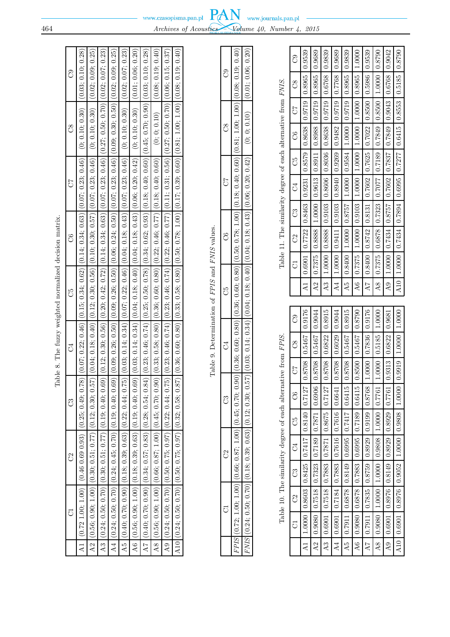| actes matrix           |  |
|------------------------|--|
| i,                     |  |
| <b>NO WANT OF</b><br>ï |  |
| $\frac{1}{6}$          |  |
| ,<br>;                 |  |
| i<br>j                 |  |
| ĺ                      |  |

Table 9. Determination of FPIS and FNIS values. Table 9. Determination of *FPIS* and *FNIS* values.

|    |                                                                                                                                                                       | (0.01; 0.06; 0.20)                                                                                                                                         |  |
|----|-----------------------------------------------------------------------------------------------------------------------------------------------------------------------|------------------------------------------------------------------------------------------------------------------------------------------------------------|--|
|    |                                                                                                                                                                       |                                                                                                                                                            |  |
|    |                                                                                                                                                                       |                                                                                                                                                            |  |
|    |                                                                                                                                                                       |                                                                                                                                                            |  |
| පි | $(0.90) \cdot (0.36; 0.80) \cdot (0.36; 0.80) \cdot (0.36; 0.60; 0.50; 0.78; 1.00) \cdot (0.18; 0.40; 0.60) \cdot (0.81; 1.00; 1.00; 1.00) \cdot (0.018; 0.19; 0.40)$ | $57 \mid (0.03; \, 0.14; \, 0.34) \mid (0.04; \, 0.18; \, 0.40) \mid (0.04; \, 0.13; \, 0.43) \mid (0.06; \, 0.20; \, 0.42) \mid \quad (0; \, 0; \, 0.10)$ |  |
|    |                                                                                                                                                                       |                                                                                                                                                            |  |
|    | i<br>C                                                                                                                                                                |                                                                                                                                                            |  |
|    |                                                                                                                                                                       |                                                                                                                                                            |  |
|    | .<br>م ين                                                                                                                                                             | こくじ<br>ì<br>C                                                                                                                                              |  |
|    |                                                                                                                                                                       |                                                                                                                                                            |  |

| I                             |
|-------------------------------|
| $\tilde{\zeta}$<br>Í<br>١     |
| i<br>י<br>י                   |
| $\overline{a}$<br>i           |
| i<br>l<br>j<br>֕              |
| i<br>١                        |
| C cesar<br>ł<br>١<br>l<br>֚֬֕ |
| Í<br>۱<br>l                   |
|                               |
|                               |
| )<br>i<br>ĺ<br>I              |
| ١                             |
|                               |
| J<br>Í<br>Į<br>ĺ<br>i         |

| ටී                                     | 0.9539                                                | 0.9689                                                            | 0.9839                                                                                           | 0.9689                                                                              | 0.9839                                                          | 1.0000                                               | 0.9539                                                                                       |                                                                                                               | 10.9042                                                                                      |                                                                                                               |
|----------------------------------------|-------------------------------------------------------|-------------------------------------------------------------------|--------------------------------------------------------------------------------------------------|-------------------------------------------------------------------------------------|-----------------------------------------------------------------|------------------------------------------------------|----------------------------------------------------------------------------------------------|---------------------------------------------------------------------------------------------------------------|----------------------------------------------------------------------------------------------|---------------------------------------------------------------------------------------------------------------|
| $\overline{c}$                         |                                                       |                                                                   |                                                                                                  | 8922.0                                                                              |                                                                 |                                                      |                                                                                              |                                                                                                               |                                                                                              |                                                                                                               |
| $\begin{bmatrix} 1 \\ 2 \end{bmatrix}$ | $\mid 0.9719 \mid 0.8965$                             | $\mid 0.9719 \mid 0.8965$                                         | 0.9719 0.6768                                                                                    | 0.9719                                                                              |                                                                 | 1.0000 0.8965                                        |                                                                                              |                                                                                                               |                                                                                              |                                                                                                               |
| C6                                     |                                                       |                                                                   |                                                                                                  |                                                                                     |                                                                 |                                                      |                                                                                              |                                                                                                               |                                                                                              |                                                                                                               |
| $C4$ $C5$                              |                                                       |                                                                   |                                                                                                  |                                                                                     |                                                                 |                                                      |                                                                                              |                                                                                                               |                                                                                              |                                                                                                               |
|                                        |                                                       | $1.0000$ $\begin{bmatrix} 0.9613 & 0.8911 & 0.8988 \end{bmatrix}$ | $\begin{array}{ c c c c c c c c c } \hline 0.9103 & 0.8606 & 0.8036 & 0.8638 \hline \end{array}$ | $1.0000$ $\begin{bmatrix} 0.9411 & 0.9103 & 0.8940 & 0.9269 & 0.9482 \end{bmatrix}$ | $1.0000$ $0.9584$ $1.0000$ $0.9719$ 0.8965                      | $1.0000$ $1.0000$ $1.0000$                           | $0.8400 \mid 0.8742 \mid 0.8131 \mid 0.7602 \mid 0.7625 \mid 0.7022 \mid 0.8500 \mid 0.5986$ | $\mid 0.7375 \mid 0.6878 \mid 0.7323 \mid 0.7077 \mid 0.7189 \mid 0.7849 \mid 0.8500 \mid 1.0000 \mid 0.8790$ | $1.0000 \mid 0.7434 \mid 0.8757 \mid 0.7602 \mid 0.7837 \mid 0.7849 \mid 0.9043 \mid 0.6768$ | $\mid 1.0000 \mid 0.7434 \mid 0.7894 \mid 0.6995 \mid 0.7277 \mid 0.6415 \mid 0.8553 \mid 0.5185 \mid 0.8790$ |
| $\mathbb{C}^3$                         |                                                       |                                                                   |                                                                                                  |                                                                                     | $1.0000$ 0.8757                                                 | $1.0000$ 0.9103                                      |                                                                                              |                                                                                                               |                                                                                              |                                                                                                               |
| C <sub>2</sub>                         |                                                       | 0.8888                                                            | 1.0000 0.8888                                                                                    |                                                                                     |                                                                 |                                                      |                                                                                              |                                                                                                               |                                                                                              |                                                                                                               |
| $\overline{5}$                         |                                                       | 0.7375                                                            |                                                                                                  |                                                                                     | 0.8400                                                          | 0.7375                                               |                                                                                              |                                                                                                               |                                                                                              |                                                                                                               |
|                                        | $\overline{A1}$                                       | A2                                                                | A3                                                                                               | $\overline{A4}$                                                                     | A5                                                              | A6                                                   | $\overline{A7}$                                                                              | $\overline{48}$                                                                                               | A9                                                                                           | A10                                                                                                           |
| ී                                      | 0.9176                                                | 0.9044                                                            | 0.8915                                                                                           | 0.9044                                                                              | 0.8915                                                          | 0.8790                                               | 0.9176                                                                                       | 1.0000                                                                                                        | 0.9681                                                                                       |                                                                                                               |
| $\overline{C}8$                        |                                                       | 1979.0                                                            | $-0.6822$                                                                                        | 0.6029                                                                              | $-195467$                                                       | $0.8500$ $0.5467$                                    | 1.0000 0.7836                                                                                | $1.0000$ $\mid 0.5185$                                                                                        |                                                                                              |                                                                                                               |
| 73                                     | 0.8708 0.5467                                         | 8708                                                              | 0.8708                                                                                           | 0.8708                                                                              | 0.8708                                                          |                                                      |                                                                                              |                                                                                                               | $0.9313$ $0.6822$                                                                            | 0.9919 1.0000 1.0000                                                                                          |
| U                                      |                                                       | 0.6906                                                            | 127127                                                                                           | 0.6641                                                                              | 0.6415                                                          | 0.6415                                               |                                                                                              |                                                                                                               | 0.7761                                                                                       |                                                                                                               |
| C5                                     |                                                       |                                                                   |                                                                                                  |                                                                                     |                                                                 |                                                      |                                                                                              |                                                                                                               |                                                                                              |                                                                                                               |
| J                                      |                                                       |                                                                   |                                                                                                  |                                                                                     |                                                                 |                                                      |                                                                                              |                                                                                                               |                                                                                              |                                                                                                               |
| C3                                     |                                                       |                                                                   |                                                                                                  |                                                                                     |                                                                 |                                                      |                                                                                              |                                                                                                               |                                                                                              |                                                                                                               |
|                                        |                                                       |                                                                   |                                                                                                  |                                                                                     |                                                                 |                                                      |                                                                                              |                                                                                                               |                                                                                              |                                                                                                               |
| $\mathbb{S}^2$                         |                                                       |                                                                   |                                                                                                  |                                                                                     |                                                                 |                                                      |                                                                                              |                                                                                                               |                                                                                              |                                                                                                               |
| J                                      | $1.0000   0.8603   0.8425   0.7417   0.8140   0.7127$ | $0.9080$ $0.7518$ $0.7323$ $0.7189$ $0.7871$<br>A2                | $0.6901$   $0.7518$   $0.7883$   $0.7871$   $0.8675$                                             | $0.6901 \mid 0.7184 \mid 0.7883 \mid 0.7616 \mid 0.7616 \mid$                       | $0.7911   0.6878   0.8149   0.6995   0.7417$<br>$\overline{A5}$ | $0.9080$   0.6878   0.7883   0.6995   0.7189  <br>A6 | $0.7911$   $0.7835$   $0.8759$   $0.8929$   $0.9199$   $0.8768$                              | $0.980$   1.0000   1.0000   0.9808   1.0000   0.7761<br>$\overline{A8}$                                       |                                                                                              | A10   0.6901   0.8976   0.9052   1.0000   0.9808   1.0000                                                     |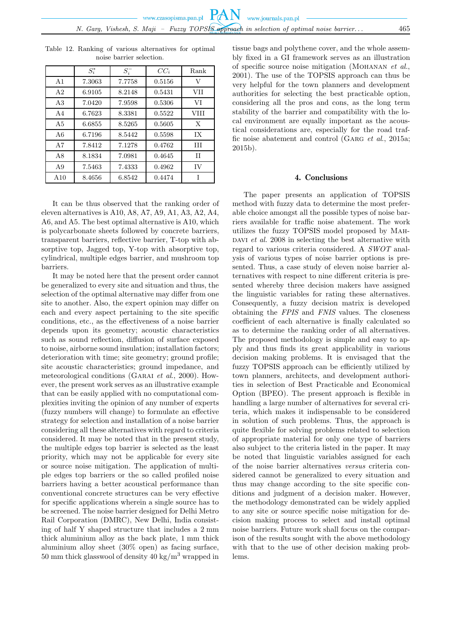|                | $S_i^*$ | $S_i^-$ | $CC_i$ | Rank        |
|----------------|---------|---------|--------|-------------|
| A <sub>1</sub> | 7.3063  | 7.7758  | 0.5156 | V           |
| A <sub>2</sub> | 6.9105  | 8.2148  | 0.5431 | VH          |
| A3             | 7.0420  | 7.9598  | 0.5306 | VI          |
| AA             | 6.7623  | 8.3381  | 0.5522 | <b>VIII</b> |
| A <sub>5</sub> | 6.6855  | 8.5265  | 0.5605 | X           |
| A6             | 6.7196  | 8.5442  | 0.5598 | IX          |
| A7             | 7.8412  | 7.1278  | 0.4762 | HІ          |
| A8             | 8.1834  | 7.0981  | 0.4645 | H           |
| A <sub>9</sub> | 7.5463  | 7.4333  | 0.4962 | <b>IV</b>   |
| A10            | 8.4656  | 6.8542  | 0.4474 |             |

Table 12. Ranking of various alternatives for optimal noise barrier selection.

It can be thus observed that the ranking order of eleven alternatives is A10, A8, A7, A9, A1, A3, A2, A4, A6, and A5. The best optimal alternative is A10, which is polycarbonate sheets followed by concrete barriers, transparent barriers, reflective barrier, T-top with absorptive top, Jagged top, Y-top with absorptive top, cylindrical, multiple edges barrier, and mushroom top barriers.

It may be noted here that the present order cannot be generalized to every site and situation and thus, the selection of the optimal alternative may differ from one site to another. Also, the expert opinion may differ on each and every aspect pertaining to the site specific conditions, etc., as the effectiveness of a noise barrier depends upon its geometry; acoustic characteristics such as sound reflection, diffusion of surface exposed to noise, airborne sound insulation; installation factors; deterioration with time; site geometry; ground profile; site acoustic characteristics; ground impedance, and meteorological conditions (Garai *et al*., 2000). However, the present work serves as an illustrative example that can be easily applied with no computational complexities inviting the opinion of any number of experts (fuzzy numbers will change) to formulate an effective strategy for selection and installation of a noise barrier considering all these alternatives with regard to criteria considered. It may be noted that in the present study, the multiple edges top barrier is selected as the least priority, which may not be applicable for every site or source noise mitigation. The application of multiple edges top barriers or the so called profiled noise barriers having a better acoustical performance than conventional concrete structures can be very effective for specific applications wherein a single source has to be screened. The noise barrier designed for Delhi Metro Rail Corporation (DMRC), New Delhi, India consisting of half Y shaped structure that includes a 2 mm thick aluminium alloy as the back plate, 1 mm thick aluminium alloy sheet (30% open) as facing surface, 50 mm thick glasswool of density 40 kg/m<sup>3</sup> wrapped in

tissue bags and polythene cover, and the whole assembly fixed in a GI framework serves as an illustration of specific source noise mitigation (Mohanan *et al.*, 2001). The use of the TOPSIS approach can thus be very helpful for the town planners and development authorities for selecting the best practicable option, considering all the pros and cons, as the long term stability of the barrier and compatibility with the local environment are equally important as the acoustical considerations are, especially for the road traffic noise abatement and control (Garg *et al*., 2015a; 2015b).

# 4. Conclusions

The paper presents an application of TOPSIS method with fuzzy data to determine the most preferable choice amongst all the possible types of noise barriers available for traffic noise abatement. The work utilizes the fuzzy TOPSIS model proposed by Mah-DAVI *et al.* 2008 in selecting the best alternative with regard to various criteria considered. A *SWOT* analysis of various types of noise barrier options is presented. Thus, a case study of eleven noise barrier alternatives with respect to nine different criteria is presented whereby three decision makers have assigned the linguistic variables for rating these alternatives. Consequently, a fuzzy decision matrix is developed obtaining the *FPIS* and *FNIS* values. The closeness coefficient of each alternative is finally calculated so as to determine the ranking order of all alternatives. The proposed methodology is simple and easy to apply and thus finds its great applicability in various decision making problems. It is envisaged that the fuzzy TOPSIS approach can be efficiently utilized by town planners, architects, and development authorities in selection of Best Practicable and Economical Option (BPEO). The present approach is flexible in handling a large number of alternatives for several criteria, which makes it indispensable to be considered in solution of such problems. Thus, the approach is quite flexible for solving problems related to selection of appropriate material for only one type of barriers also subject to the criteria listed in the paper. It may be noted that linguistic variables assigned for each of the noise barrier alternatives *versus* criteria considered cannot be generalized to every situation and thus may change according to the site specific conditions and judgment of a decision maker. However, the methodology demonstrated can be widely applied to any site or source specific noise mitigation for decision making process to select and install optimal noise barriers. Future work shall focus on the comparison of the results sought with the above methodology with that to the use of other decision making problems.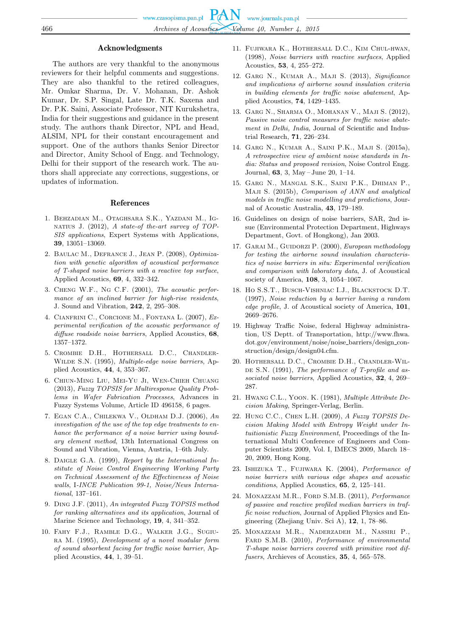## Acknowledgments

The authors are very thankful to the anonymous reviewers for their helpful comments and suggestions. They are also thankful to the retired colleagues, Mr. Omkar Sharma, Dr. V. Mohanan, Dr. Ashok Kumar, Dr. S.P. Singal, Late Dr. T.K. Saxena and Dr. P.K. Saini, Associate Professor, NIT Kurukshetra, India for their suggestions and guidance in the present study. The authors thank Director, NPL and Head, ALSIM, NPL for their constant encouragement and support. One of the authors thanks Senior Director and Director, Amity School of Engg. and Technology, Delhi for their support of the research work. The authors shall appreciate any corrections, suggestions, or updates of information.

#### References

- 1. Behzadian M., Otaghsara S.K., Yazdani M., Ignatius J. (2012), *A state-of the-art survey of TOP-SIS applications*, Expert Systems with Applications, **39**, 13051–13069.
- 2. Baulac M., Defrance J., Jean P. (2008), *Optimization with genetic algorithm of acoustical performance of T-shaped noise barriers with a reactive top surface*, Applied Acoustics, **69**, 4, 332–342.
- 3. Cheng W.F., Ng C.F. (2001), *The acoustic performance of an inclined barrier for high-rise residents*, J. Sound and Vibration, **242**, 2, 295–308.
- 4. Cianfrini C., Corcione M., Fontana L. (2007), *Experimental verification of the acoustic performance of diffuse roadside noise barriers*, Applied Acoustics, **68**, 1357–1372.
- 5. Crombie D.H., Hothersall D.C., Chandler-Wilde S.N. (1995), *Multiple-edge noise barriers*, Applied Acoustics, **44**, 4, 353–367.
- 6. Chiun-Ming Liu, Mei-Yu Ji, Wen-Chieh Chuang (2013), *Fuzzy TOPSIS for Multiresponse Quality Problems in Wafer Fabrication Processes*, Advances in Fuzzy Systems Volume, Article ID 496158, 6 pages.
- 7. Egan C.A., Chilekwa V., Oldham D.J. (2006), *An investigation of the use of the top edge treatments to enhance the performance of a noise barrier using boundary element method*, 13th International Congress on Sound and Vibration, Vienna, Austria, 1–6th July.
- 8. Daigle G.A. (1999), *Report by the International Institute of Noise Control Engineering Working Party on Technical Assessment of the Effectiveness of Noise walls*, I*-INCE Publication 99-1, Noise/News International*, 137–161.
- 9. Ding J.F. (2011), *An integrated Fuzzy TOPSIS method for ranking alternatives and its application*, Journal of Marine Science and Technology, **19**, 4, 341–352.
- 10. Fahy F.J., Ramble D.G., Walker J.G., Sugiura M. (1995), *Development of a novel modular form of sound absorbent facing for traffic noise barrier*, Applied Acoustics, **44**, 1, 39–51.
- 11. Fujiwara K., Hothersall D.C., Kim Chul-hwan, (1998), *Noise barriers with reactive surfaces*, Applied Acoustics, **53**, 4, 255–272.
- 12. Garg N., Kumar A., Maji S. (2013), *Significance and implications of airborne sound insulation criteria in building elements for traffic noise abatement*, Applied Acoustics, **74**, 1429–1435.
- 13. Garg N., Sharma O., Mohanan V., Maji S. (2012), *Passive noise control measures for traffic noise abatement in Delhi, India*, Journal of Scientific and Industrial Research, **71**, 226–234.
- 14. Garg N., Kumar A., Saini P.K., Maji S. (2015a), *A retrospective view of ambient noise standards in India: Status and proposed revision*, Noise Control Engg. Journal, **63**, 3, May – June 20, 1–14.
- 15. Garg N., Mangal S.K., Saini P.K., Dhiman P., Maji S. (2015b), *Comparison of ANN and analytical models in traffic noise modelling and predictions*, Journal of Acoustic Australia, **43**, 179–189.
- 16. Guidelines on design of noise barriers, SAR, 2nd issue (Environmental Protection Department, Highways Department, Govt. of Hongkong), Jan 2003.
- 17. Garai M., Guidorzi P. (2000), *European methodology for testing the airborne sound insulation characteristics of noise barriers in situ: Experimental verification and comparison with laboratory data*, J. of Acoustical society of America, **108**, 3, 1054–1067.
- 18. Ho S.S.T., Busch-Vishniac I.J., Blackstock D.T. (1997), *Noise reduction by a barrier having a random edge profile*, J. of Acoustical society of America, **101**, 2669–2676.
- 19. Highway Traffic Noise, federal Highway administration, US Deptt. of Transportation, http://www.fhwa. dot.gov/environment/noise/noise barriers/design construction/design/design04.cfm.
- 20. Hothersall D.C., Crombie D.H., Chandler-Wil-DE S.N. (1991), *The performance of T-profile and associated noise barriers*, Applied Acoustics, **32**, 4, 269– 287.
- 21. Hwang C.L., Yoon. K. (1981), *Multiple Attribute Decision Making*, Springer-Verlag, Berlin.
- 22. Hung C.C., Chen L.H. (2009), *A Fuzzy TOPSIS Decision Making Model with Entropy Weight under Intuitionistic Fuzzy Environment*, Proceedings of the International Multi Conference of Engineers and Computer Scientists 2009, Vol. I, IMECS 2009, March 18– 20, 2009, Hong Kong.
- 23. Ishizuka T., Fujiwara K. (2004), *Performance of noise barriers with various edge shapes and acoustic conditions*, Applied Acoustics, **65**, 2, 125–141.
- 24. Monazzam M.R., Ford S.M.B. (2011), *Performance of passive and reactive profiled median barriers in traffic noise reduction*, Journal of Applied Physics and Engineering (Zhejiang Univ. Sci A), **12**, 1, 78–86.
- 25. Monazzam M.R., Naderzadeh M., Nassiri P., Fard S.M.B. (2010), *Performance of environmental T-shape noise barriers covered with primitive root diffusers*, Archieves of Acoustics, **35**, 4, 565–578.